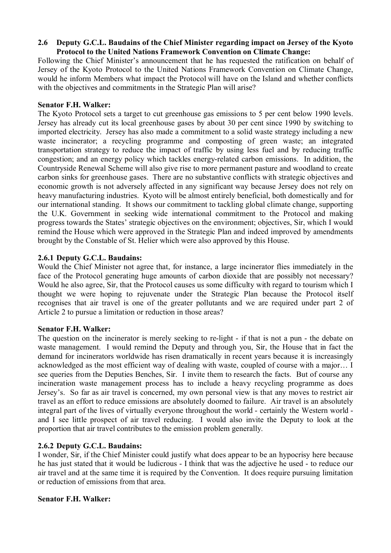# **2.6** � **Deputy G.C.L. Baudains of the Chief Minister regarding impact on Jersey of the Kyoto Protocol to the United Nations Framework Convention on Climate Change:**

Following the Chief Minister's announcement that he has requested the ratification on behalf of Jersey of the Kyoto Protocol to the United Nations Framework Convention on Climate Change, would he inform Members what impact the Protocol will have on the Island and whether conflicts with the objectives and commitments in the Strategic Plan will arise?

### **Senator F.H. Walker:**

The Kyoto Protocol sets a target to cut greenhouse gas emissions to 5 per cent below 1990 levels. Jersey has already cut its local greenhouse gases by about 30 per cent since 1990 by switching to imported electricity. Jersey has also made a commitment to a solid waste strategy including a new waste incinerator; a recycling programme and composting of green waste; an integrated transportation strategy to reduce the impact of traffic by using less fuel and by reducing traffic congestion; and an energy policy which tackles energy-related carbon emissions. In addition, the Countryside Renewal Scheme will also give rise to more permanent pasture and woodland to create carbon sinks for greenhouse gases. There are no substantive conflicts with strategic objectives and economic growth is not adversely affected in any significant way because Jersey does not rely on heavy manufacturing industries. Kyoto will be almost entirely beneficial, both domestically and for our international standing. It shows our commitment to tackling global climate change, supporting the U.K. Government in seeking wide international commitment to the Protocol and making progress towards the States' strategic objectives on the environment; objectives, Sir, which I would remind the House which were approved in the Strategic Plan and indeed improved by amendments brought by the Constable of St. Helier which were also approved by this House.

# **2.6.1 Deputy G.C.L. Baudains:**

Would the Chief Minister not agree that, for instance, a large incinerator flies immediately in the face of the Protocol generating huge amounts of carbon dioxide that are possibly not necessary? Would he also agree, Sir, that the Protocol causes us some difficulty with regard to tourism which I thought we were hoping to rejuvenate under the Strategic Plan because the Protocol itself recognises that air travel is one of the greater pollutants and we are required under part 2 of Article 2 to pursue a limitation or reduction in those areas?

# **Senator F.H. Walker:**

The question on the incinerator is merely seeking to re-light - if that is not a pun - the debate on waste management. I would remind the Deputy and through you, Sir, the House that in fact the demand for incinerators worldwide has risen dramatically in recent years because it is increasingly acknowledged as the most efficient way of dealing with waste, coupled of course with a major… I see queries from the Deputies Benches, Sir. I invite them to research the facts. But of course any incineration waste management process has to include a heavy recycling programme as does Jersey's. So far as air travel is concerned, my own personal view is that any moves to restrict air travel as an effort to reduce emissions are absolutely doomed to failure. Air travel is an absolutely integral part of the lives of virtually everyone throughout the world - certainly the Western world and I see little prospect of air travel reducing. I would also invite the Deputy to look at the proportion that air travel contributes to the emission problem generally.

# **2.6.2 Deputy G.C.L. Baudains:**

I wonder, Sir, if the Chief Minister could justify what does appear to be an hypocrisy here because he has just stated that it would be ludicrous - I think that was the adjective he used - to reduce our air travel and at the same time it is required by the Convention. It does require pursuing limitation or reduction of emissions from that area.

# **Senator F.H. Walker:**